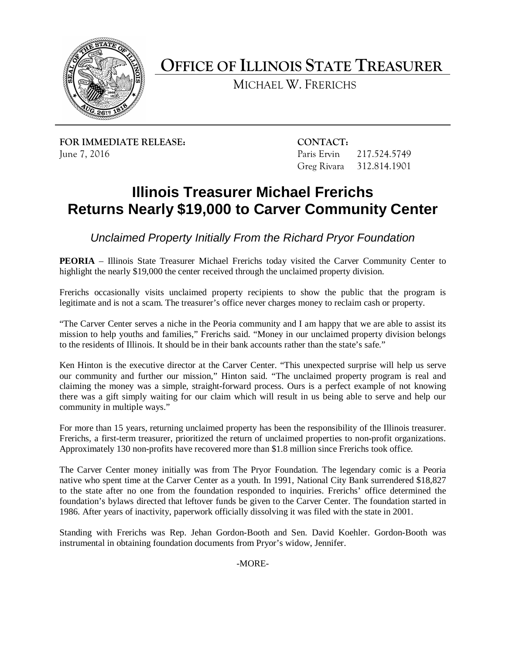

**OFFICE OF ILLINOIS STATE TREASURER**

MICHAEL W. FRERICHS

**FOR IMMEDIATE RELEASE: CONTACT:** June 7, 2016 Paris Ervin 217.524.5749

Greg Rivara 312.814.1901

## **Illinois Treasurer Michael Frerichs Returns Nearly \$19,000 to Carver Community Center**

*Unclaimed Property Initially From the Richard Pryor Foundation*

**PEORIA** – Illinois State Treasurer Michael Frerichs today visited the Carver Community Center to highlight the nearly \$19,000 the center received through the unclaimed property division.

Frerichs occasionally visits unclaimed property recipients to show the public that the program is legitimate and is not a scam. The treasurer's office never charges money to reclaim cash or property.

"The Carver Center serves a niche in the Peoria community and I am happy that we are able to assist its mission to help youths and families," Frerichs said. "Money in our unclaimed property division belongs to the residents of Illinois. It should be in their bank accounts rather than the state's safe."

Ken Hinton is the executive director at the Carver Center. "This unexpected surprise will help us serve our community and further our mission," Hinton said. "The unclaimed property program is real and claiming the money was a simple, straight-forward process. Ours is a perfect example of not knowing there was a gift simply waiting for our claim which will result in us being able to serve and help our community in multiple ways."

For more than 15 years, returning unclaimed property has been the responsibility of the Illinois treasurer. Frerichs, a first-term treasurer, prioritized the return of unclaimed properties to non-profit organizations. Approximately 130 non-profits have recovered more than \$1.8 million since Frerichs took office.

The Carver Center money initially was from The Pryor Foundation. The legendary comic is a Peoria native who spent time at the Carver Center as a youth. In 1991, National City Bank surrendered \$18,827 to the state after no one from the foundation responded to inquiries. Frerichs' office determined the foundation's bylaws directed that leftover funds be given to the Carver Center. The foundation started in 1986. After years of inactivity, paperwork officially dissolving it was filed with the state in 2001.

Standing with Frerichs was Rep. Jehan Gordon-Booth and Sen. David Koehler. Gordon-Booth was instrumental in obtaining foundation documents from Pryor's widow, Jennifer.

-MORE-